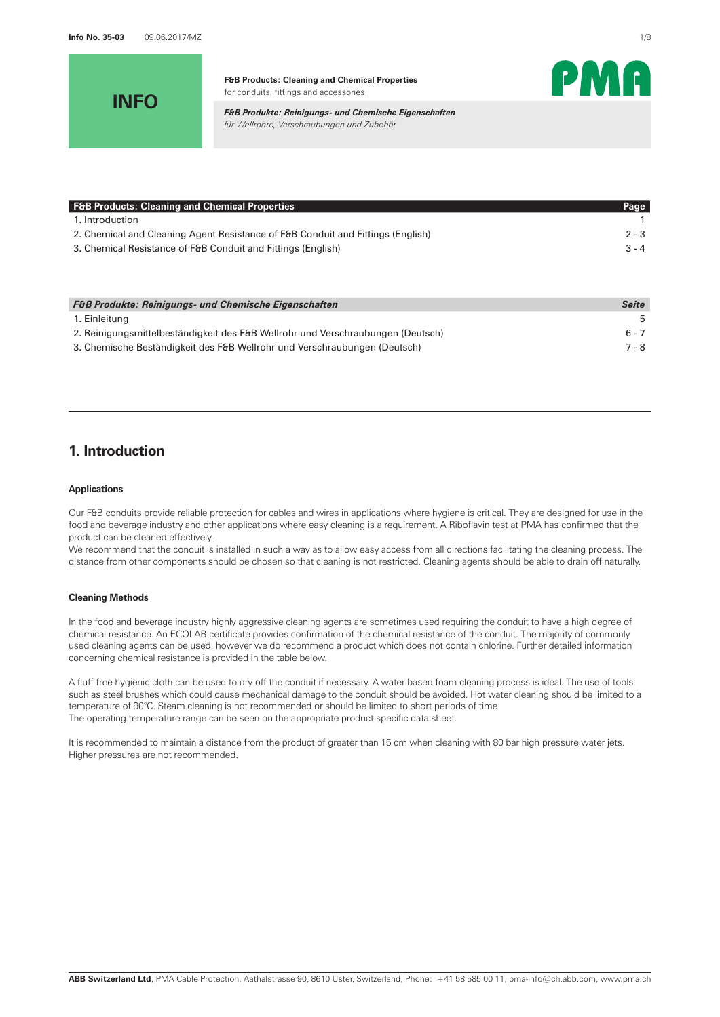**INFO**



PMA

*F&B Produkte: Reinigungs- und Chemische Eigenschaften für Wellrohre, Verschraubungen und Zubehör*

| Page    |
|---------|
|         |
| $2 - 3$ |
| $3 - 4$ |
|         |

| <b>F&amp;B Produkte: Reinigungs- und Chemische Eigenschaften</b>                | Seite |
|---------------------------------------------------------------------------------|-------|
| 1. Einleitung                                                                   | -5    |
| 2. Reinigungsmittelbeständigkeit des F&B Wellrohr und Verschraubungen (Deutsch) | ճ - 7 |
| 3. Chemische Beständigkeit des F&B Wellrohr und Verschraubungen (Deutsch)       | 7 - 8 |

# **1. Introduction**

### **Applications**

Our F&B conduits provide reliable protection for cables and wires in applications where hygiene is critical. They are designed for use in the food and beverage industry and other applications where easy cleaning is a requirement. A Riboflavin test at PMA has confirmed that the product can be cleaned effectively.

We recommend that the conduit is installed in such a way as to allow easy access from all directions facilitating the cleaning process. The distance from other components should be chosen so that cleaning is not restricted. Cleaning agents should be able to drain off naturally.

## **Cleaning Methods**

In the food and beverage industry highly aggressive cleaning agents are sometimes used requiring the conduit to have a high degree of chemical resistance. An ECOLAB certificate provides confirmation of the chemical resistance of the conduit. The majority of commonly used cleaning agents can be used, however we do recommend a product which does not contain chlorine. Further detailed information concerning chemical resistance is provided in the table below.

A fluff free hygienic cloth can be used to dry off the conduit if necessary. A water based foam cleaning process is ideal. The use of tools such as steel brushes which could cause mechanical damage to the conduit should be avoided. Hot water cleaning should be limited to a temperature of 90°C. Steam cleaning is not recommended or should be limited to short periods of time. The operating temperature range can be seen on the appropriate product specific data sheet.

It is recommended to maintain a distance from the product of greater than 15 cm when cleaning with 80 bar high pressure water jets. Higher pressures are not recommended.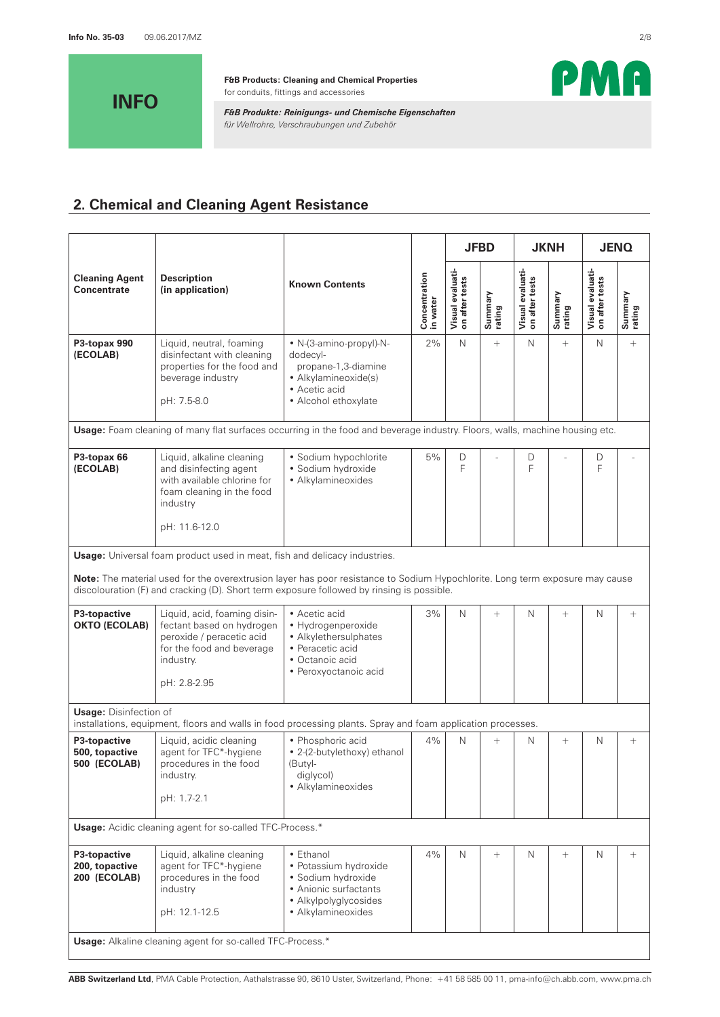

*F&B Produkte: Reinigungs- und Chemische Eigenschaften für Wellrohre, Verschraubungen und Zubehör*



# **2. Chemical and Cleaning Agent Resistance**

|                                                       |                                                                                                                                                                                                                           |                                                                                                                                  |                           |                                    | <b>JFBD</b>       |                                    | <b>JKNH</b>       |                                    | <b>JENQ</b>       |
|-------------------------------------------------------|---------------------------------------------------------------------------------------------------------------------------------------------------------------------------------------------------------------------------|----------------------------------------------------------------------------------------------------------------------------------|---------------------------|------------------------------------|-------------------|------------------------------------|-------------------|------------------------------------|-------------------|
| <b>Cleaning Agent</b><br>Concentrate                  | <b>Description</b><br>(in application)                                                                                                                                                                                    | <b>Known Contents</b>                                                                                                            | Concentration<br>in water | Visual evaluati-<br>on after tests | Summary<br>rating | Visual evaluati-<br>on after tests | Summary<br>rating | Visual evaluati-<br>on after tests | Summary<br>rating |
| P3-topax 990<br>(ECOLAB)                              | Liquid, neutral, foaming<br>disinfectant with cleaning<br>properties for the food and<br>beverage industry<br>pH: 7.5-8.0                                                                                                 | • N-(3-amino-propyl)-N-<br>dodecyl-<br>propane-1,3-diamine<br>• Alkylamineoxide(s)<br>• Acetic acid<br>• Alcohol ethoxylate      | 2%                        | N                                  | $^{+}$            | N                                  | $^{+}$            | N                                  | $\! + \!\!\!\!$   |
|                                                       | Usage: Foam cleaning of many flat surfaces occurring in the food and beverage industry. Floors, walls, machine housing etc.                                                                                               |                                                                                                                                  |                           |                                    |                   |                                    |                   |                                    |                   |
| P3-topax 66<br>(ECOLAB)                               | Liquid, alkaline cleaning<br>and disinfecting agent<br>with available chlorine for<br>foam cleaning in the food<br>industry<br>pH: 11.6-12.0                                                                              | · Sodium hypochlorite<br>· Sodium hydroxide<br>• Alkylamineoxides                                                                | 5%                        | D<br>F                             |                   | D<br>F                             |                   | D<br>F                             |                   |
|                                                       | Usage: Universal foam product used in meat, fish and delicacy industries.                                                                                                                                                 |                                                                                                                                  |                           |                                    |                   |                                    |                   |                                    |                   |
|                                                       | Note: The material used for the overextrusion layer has poor resistance to Sodium Hypochlorite. Long term exposure may cause<br>discolouration (F) and cracking (D). Short term exposure followed by rinsing is possible. |                                                                                                                                  |                           |                                    |                   |                                    |                   |                                    |                   |
| P3-topactive<br><b>OKTO (ECOLAB)</b>                  | Liquid, acid, foaming disin-<br>fectant based on hydrogen<br>peroxide / peracetic acid<br>for the food and beverage<br>industry.<br>pH: 2.8-2.95                                                                          | • Acetic acid<br>• Hydrogenperoxide<br>• Alkylethersulphates<br>• Peracetic acid<br>• Octanoic acid<br>• Peroxyoctanoic acid     | 3%                        | N                                  | $^{+}$            | $\mathsf{N}$                       | $^{+}$            | N                                  | $^{+}$            |
| <b>Usage: Disinfection of</b>                         | installations, equipment, floors and walls in food processing plants. Spray and foam application processes.                                                                                                               |                                                                                                                                  |                           |                                    |                   |                                    |                   |                                    |                   |
| P3-topactive<br>500, topactive<br><b>500 (ECOLAB)</b> | Liquid, acidic cleaning<br>agent for TFC*-hygiene<br>procedures in the food<br>industry.<br>pH: 1.7-2.1                                                                                                                   | • Phosphoric acid<br>• 2-(2-butylethoxy) ethanol<br>(Butyl-<br>diglycol)<br>• Alkylamineoxides                                   | 4%                        | N                                  | $^{+}$            | N                                  | $\! + \!\!\!\!$   | N                                  | $^{+}$            |
|                                                       | <b>Usage:</b> Acidic cleaning agent for so-called TFC-Process.*                                                                                                                                                           |                                                                                                                                  |                           |                                    |                   |                                    |                   |                                    |                   |
| P3-topactive<br>200, topactive<br>200 (ECOLAB)        | Liquid, alkaline cleaning<br>agent for TFC*-hygiene<br>procedures in the food<br>industry<br>pH: 12.1-12.5                                                                                                                | • Ethanol<br>• Potassium hydroxide<br>· Sodium hydroxide<br>• Anionic surfactants<br>• Alkylpolyglycosides<br>• Alkylamineoxides | 4%                        | N                                  | $^{+}$            | N                                  | $^{+}$            | Ν                                  | $^{+}$            |
|                                                       | <b>Usage:</b> Alkaline cleaning agent for so-called TFC-Process.*                                                                                                                                                         |                                                                                                                                  |                           |                                    |                   |                                    |                   |                                    |                   |

**ABB Switzerland Ltd**, PMA Cable Protection, Aathalstrasse 90, 8610 Uster, Switzerland, Phone: +41 58 585 00 11, pma-info@ch.abb.com, www.pma.ch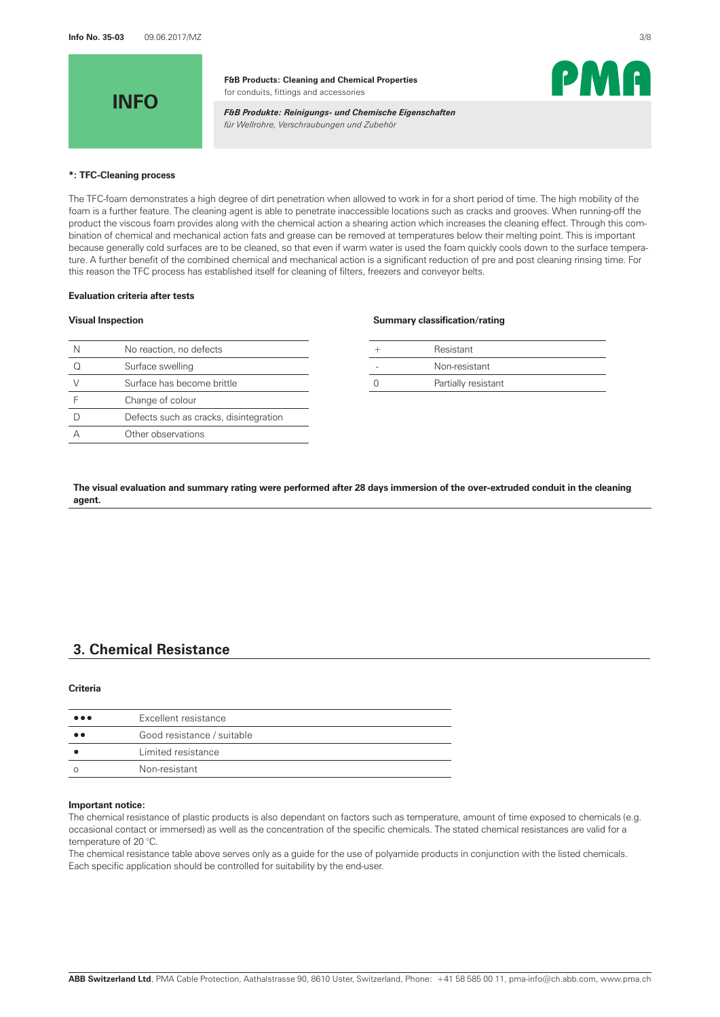

*F&B Produkte: Reinigungs- und Chemische Eigenschaften für Wellrohre, Verschraubungen und Zubehör*



#### **\*: TFC-Cleaning process**

The TFC-foam demonstrates a high degree of dirt penetration when allowed to work in for a short period of time. The high mobility of the foam is a further feature. The cleaning agent is able to penetrate inaccessible locations such as cracks and grooves. When running-off the product the viscous foam provides along with the chemical action a shearing action which increases the cleaning effect. Through this combination of chemical and mechanical action fats and grease can be removed at temperatures below their melting point. This is important because generally cold surfaces are to be cleaned, so that even if warm water is used the foam quickly cools down to the surface temperature. A further benefit of the combined chemical and mechanical action is a significant reduction of pre and post cleaning rinsing time. For this reason the TFC process has established itself for cleaning of filters, freezers and conveyor belts.

#### **Evaluation criteria after tests**

| N | No reaction, no defects                |  | Resistant           |
|---|----------------------------------------|--|---------------------|
|   | Surface swelling                       |  | Non-resistant       |
|   | Surface has become brittle             |  | Partially resistant |
|   | Change of colour                       |  |                     |
|   | Defects such as cracks, disintegration |  |                     |
|   | Other observations                     |  |                     |
|   |                                        |  |                     |

#### **Visual Inspection Summary classification/rating**

| Resistant           |
|---------------------|
| Non-resistant       |
| Partially resistant |

**The visual evaluation and summary rating were performed after 28 days immersion of the over-extruded conduit in the cleaning agent.** 

# **3. Chemical Resistance**

#### **Criteria**

| $\bullet\bullet\bullet$ | Excellent resistance       |
|-------------------------|----------------------------|
| $^{\bullet}$            | Good resistance / suitable |
|                         | Limited resistance         |
|                         | Non-resistant              |

#### **Important notice:**

The chemical resistance of plastic products is also dependant on factors such as temperature, amount of time exposed to chemicals (e.g. occasional contact or immersed) as well as the concentration of the specific chemicals. The stated chemical resistances are valid for a temperature of 20 °C.

The chemical resistance table above serves only as a guide for the use of polyamide products in conjunction with the listed chemicals. Each specific application should be controlled for suitability by the end-user.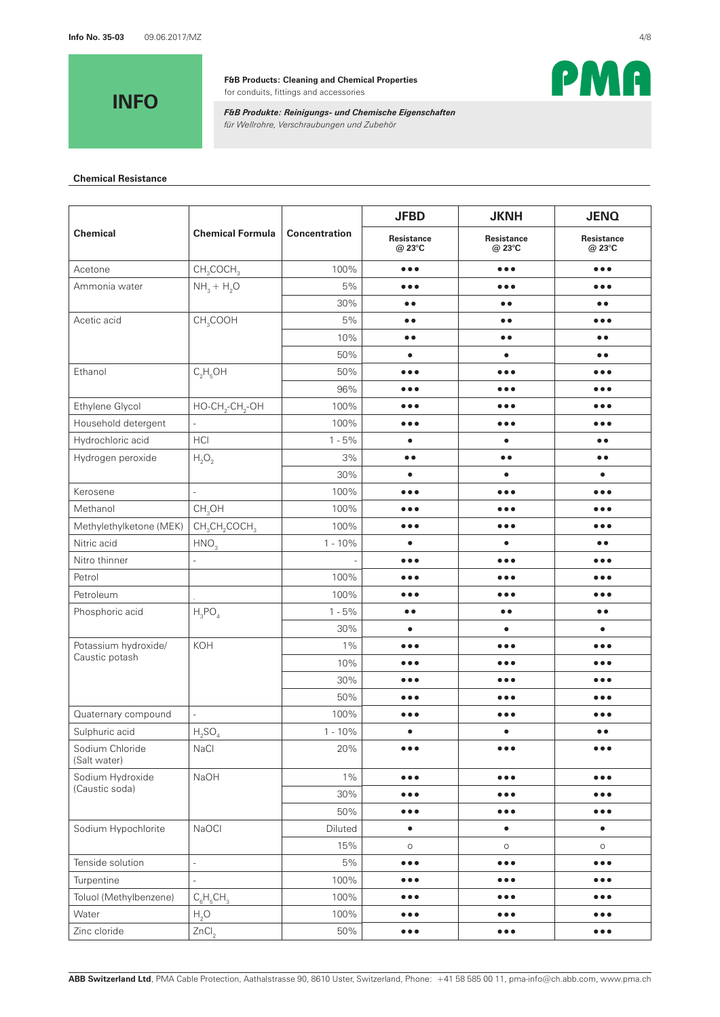**INFO**

**F&B Products: Cleaning and Chemical Properties** for conduits, fittings and accessories



*F&B Produkte: Reinigungs- und Chemische Eigenschaften für Wellrohre, Verschraubungen und Zubehör*

## **Chemical Resistance**

|                                 |                                                   |                      | <b>JFBD</b>             | <b>JKNH</b>                 | <b>JENQ</b>             |
|---------------------------------|---------------------------------------------------|----------------------|-------------------------|-----------------------------|-------------------------|
| <b>Chemical</b>                 | <b>Chemical Formula</b>                           | <b>Concentration</b> | Resistance<br>@ 23°C    | <b>Resistance</b><br>@ 23°C | Resistance<br>@ 23°C    |
| Acetone                         | CH <sub>3</sub> COCH <sub>3</sub>                 | 100%                 | $\bullet\bullet\bullet$ | $\bullet\bullet\bullet$     | $\bullet\bullet\bullet$ |
| Ammonia water                   | $NH3 + H2O$                                       | 5%                   | $\bullet\bullet\bullet$ | $\bullet\bullet\bullet$     | $\bullet\bullet\bullet$ |
|                                 |                                                   | 30%                  | $\bullet$<br>$\bullet$  | $\bullet$                   | $\bullet$               |
| Acetic acid                     | CH <sub>3</sub> COOH                              | 5%                   | $\bullet$               | $\bullet$                   | $\bullet\bullet\bullet$ |
|                                 |                                                   | 10%                  | $\bullet$<br>$\bullet$  | $\bullet$                   | $\bullet$               |
|                                 |                                                   | 50%                  | $\bullet$               | $\bullet$                   | $\bullet$               |
| Ethanol                         | $C_2H_5OH$                                        | 50%                  | $\bullet\bullet\bullet$ | $\bullet\bullet\bullet$     | $\bullet\bullet\bullet$ |
|                                 |                                                   | 96%                  | $\bullet\bullet\bullet$ | $\bullet\bullet\bullet$     | $\bullet\bullet\bullet$ |
| Ethylene Glycol                 | $HO$ -CH <sub>2</sub> -CH <sub>2</sub> -OH        | 100%                 | $\bullet\bullet\bullet$ | $\bullet\bullet\bullet$     | $\bullet\bullet\bullet$ |
| Household detergent             |                                                   | 100%                 | $\bullet\bullet\bullet$ | $\bullet\bullet\bullet$     | $\bullet\bullet\bullet$ |
| Hydrochloric acid               | HCI                                               | $1 - 5%$             | $\bullet$               | $\bullet$                   | $\bullet$               |
| Hydrogen peroxide               | $H_2O_2$                                          | 3%                   | $\bullet$<br>$\bullet$  | $\bullet$                   | $\bullet$               |
|                                 |                                                   | 30%                  | $\bullet$               | $\bullet$                   | $\bullet$               |
| Kerosene                        | $\blacksquare$                                    | 100%                 | $\bullet\bullet\bullet$ | $\bullet\bullet\bullet$     | $\bullet\bullet\bullet$ |
| Methanol                        | CH <sub>3</sub> OH                                | 100%                 | $\bullet\bullet\bullet$ | $\bullet\bullet\bullet$     | $\bullet\bullet\bullet$ |
| Methylethylketone (MEK)         | CH <sub>3</sub> CH <sub>2</sub> COCH <sub>3</sub> | 100%                 | $\bullet\bullet\bullet$ | $\bullet\bullet\bullet$     | $\bullet\bullet\bullet$ |
| Nitric acid                     | HNO <sub>3</sub>                                  | $1 - 10%$            | $\bullet$               | $\bullet$                   | $\bullet$               |
| Nitro thinner                   | ÷,                                                |                      | $\bullet\bullet\bullet$ | $\bullet\bullet\bullet$     | $\bullet\bullet\bullet$ |
| Petrol                          |                                                   | 100%                 | $\bullet\bullet\bullet$ | $\bullet\bullet\bullet$     | $\bullet\bullet\bullet$ |
| Petroleum                       |                                                   | 100%                 | $\bullet\bullet\bullet$ | $\bullet\bullet\bullet$     | $\bullet\bullet\bullet$ |
| Phosphoric acid                 | $H_3PO_4$                                         | $1 - 5%$             | $\bullet$               | $\bullet$                   | $\bullet$               |
|                                 |                                                   | 30%                  | $\bullet$               | $\bullet$                   | $\bullet$               |
| Potassium hydroxide/            | KOH                                               | $1\%$                | $\bullet\bullet\bullet$ | $\bullet\bullet\bullet$     | $\bullet\bullet\bullet$ |
| Caustic potash                  |                                                   | 10%                  | $\bullet\bullet\bullet$ | $\bullet\bullet\bullet$     | $\bullet\bullet\bullet$ |
|                                 |                                                   | 30%                  | $\bullet\bullet\bullet$ | $\bullet\bullet\bullet$     | $\bullet\bullet\bullet$ |
|                                 |                                                   | 50%                  | $\bullet\bullet\bullet$ | $\bullet\bullet\bullet$     | $\bullet\bullet\bullet$ |
| Quaternary compound             | $\overline{a}$                                    | 100%                 | $\bullet\bullet\bullet$ | $\bullet\bullet\bullet$     | $\bullet\bullet\bullet$ |
| Sulphuric acid                  | $H_2SO_4$                                         | $1 - 10%$            | $\bullet$               | $\bullet$                   | $\bullet$               |
| Sodium Chloride<br>(Salt water) | NaCl                                              | 20%                  | $\bullet\bullet\bullet$ | $\bullet\bullet\bullet$     | $\bullet\bullet\bullet$ |
| Sodium Hydroxide                | NaOH                                              | $1\%$                | $\bullet\bullet\bullet$ | $\bullet\bullet\bullet$     | $\bullet\bullet\bullet$ |
| (Caustic soda)                  |                                                   | 30%                  | $\bullet\bullet\bullet$ | $\bullet\bullet\bullet$     | $\bullet\bullet\bullet$ |
|                                 |                                                   | 50%                  | $\bullet\bullet\bullet$ | $\bullet\bullet\bullet$     | $\bullet\bullet\bullet$ |
| Sodium Hypochlorite             | NaOCI                                             | Diluted              | $\bullet$               | $\bullet$                   | $\bullet$               |
|                                 |                                                   | 15%                  | $\circ$                 | $\circ$                     | $\circ$                 |
| Tenside solution                | $\frac{1}{2}$                                     | 5%                   | $\bullet\bullet\bullet$ | $\bullet\bullet\bullet$     | $\bullet\bullet\bullet$ |
| Turpentine                      | $\overline{a}$                                    | 100%                 | $\bullet\bullet\bullet$ | $\bullet\bullet\bullet$     | $\bullet\bullet\bullet$ |
| Toluol (Methylbenzene)          | $C_6H_5CH_3$                                      | 100%                 | $\bullet\bullet\bullet$ | $\bullet\bullet\bullet$     | $\bullet\bullet\bullet$ |
| Water                           | H <sub>2</sub> O                                  | 100%                 | $\bullet\bullet\bullet$ | $\bullet\bullet\bullet$     | $\bullet\bullet\bullet$ |
| Zinc cloride                    | ZnCl <sub>2</sub>                                 | 50%                  | $\bullet\bullet\bullet$ | $\bullet\bullet\bullet$     | $\bullet\bullet\bullet$ |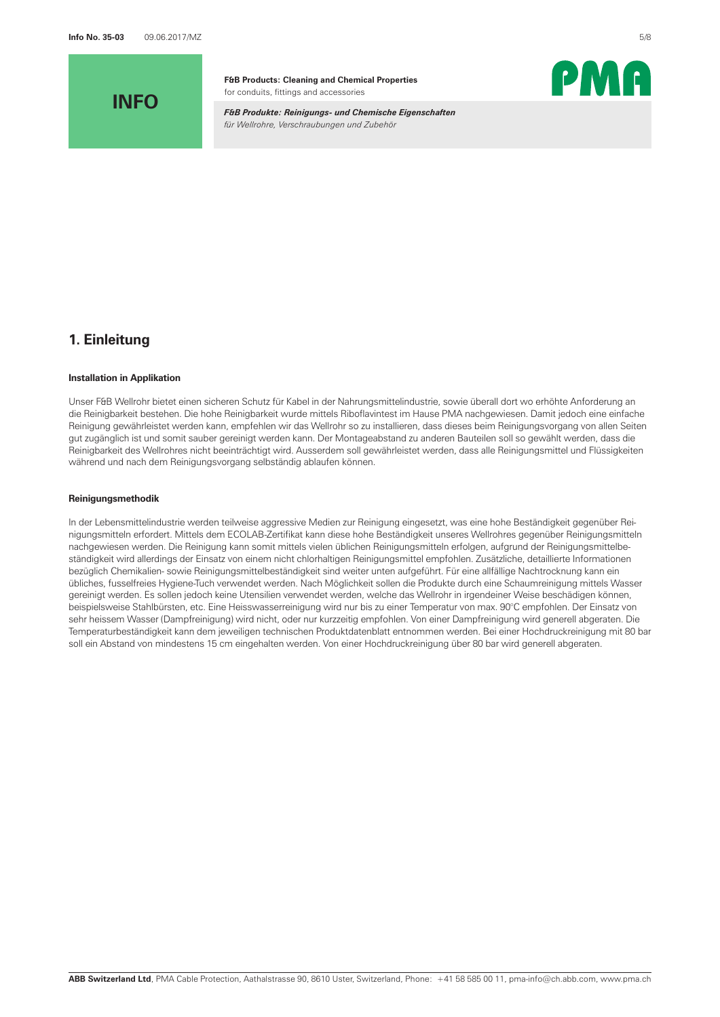**INFO**

**F&B Products: Cleaning and Chemical Properties** for conduits, fittings and accessories

*F&B Produkte: Reinigungs- und Chemische Eigenschaften für Wellrohre, Verschraubungen und Zubehör*



## **1. Einleitung**

#### **Installation in Applikation**

Unser F&B Wellrohr bietet einen sicheren Schutz für Kabel in der Nahrungsmittelindustrie, sowie überall dort wo erhöhte Anforderung an die Reinigbarkeit bestehen. Die hohe Reinigbarkeit wurde mittels Riboflavintest im Hause PMA nachgewiesen. Damit jedoch eine einfache Reinigung gewährleistet werden kann, empfehlen wir das Wellrohr so zu installieren, dass dieses beim Reinigungsvorgang von allen Seiten gut zugänglich ist und somit sauber gereinigt werden kann. Der Montageabstand zu anderen Bauteilen soll so gewählt werden, dass die Reinigbarkeit des Wellrohres nicht beeinträchtigt wird. Ausserdem soll gewährleistet werden, dass alle Reinigungsmittel und Flüssigkeiten während und nach dem Reinigungsvorgang selbständig ablaufen können.

### **Reinigungsmethodik**

In der Lebensmittelindustrie werden teilweise aggressive Medien zur Reinigung eingesetzt, was eine hohe Beständigkeit gegenüber Reinigungsmitteln erfordert. Mittels dem ECOLAB-Zertifikat kann diese hohe Beständigkeit unseres Wellrohres gegenüber Reinigungsmitteln nachgewiesen werden. Die Reinigung kann somit mittels vielen üblichen Reinigungsmitteln erfolgen, aufgrund der Reinigungsmittelbeständigkeit wird allerdings der Einsatz von einem nicht chlorhaltigen Reinigungsmittel empfohlen. Zusätzliche, detaillierte Informationen bezüglich Chemikalien- sowie Reinigungsmittelbeständigkeit sind weiter unten aufgeführt. Für eine allfällige Nachtrocknung kann ein übliches, fusselfreies Hygiene-Tuch verwendet werden. Nach Möglichkeit sollen die Produkte durch eine Schaumreinigung mittels Wasser gereinigt werden. Es sollen jedoch keine Utensilien verwendet werden, welche das Wellrohr in irgendeiner Weise beschädigen können, beispielsweise Stahlbürsten, etc. Eine Heisswasserreinigung wird nur bis zu einer Temperatur von max. 90°C empfohlen. Der Einsatz von sehr heissem Wasser (Dampfreinigung) wird nicht, oder nur kurzzeitig empfohlen. Von einer Dampfreinigung wird generell abgeraten. Die Temperaturbeständigkeit kann dem jeweiligen technischen Produktdatenblatt entnommen werden. Bei einer Hochdruckreinigung mit 80 bar soll ein Abstand von mindestens 15 cm eingehalten werden. Von einer Hochdruckreinigung über 80 bar wird generell abgeraten.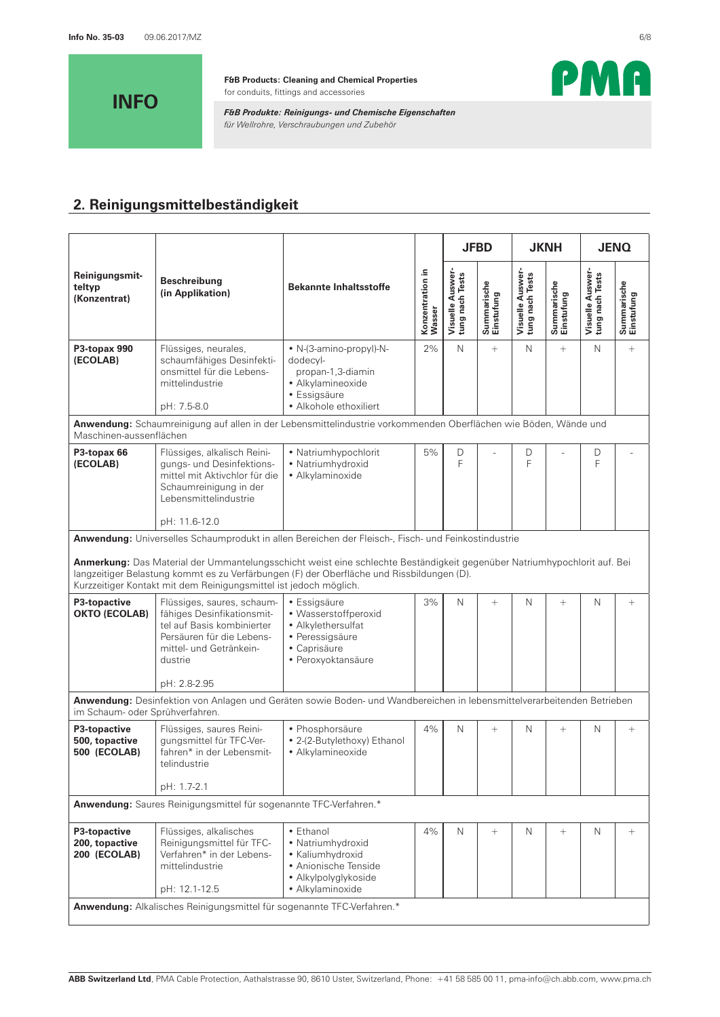

*F&B Produkte: Reinigungs- und Chemische Eigenschaften für Wellrohre, Verschraubungen und Zubehör*



# **2. Reinigungsmittelbeständigkeit**

|                                                                                          |                                                                                                                                                               |                                                                                                                                                                                                                       |                            |                                     | <b>JFBD</b>               |                                     | <b>JKNH</b>               | <b>JENQ</b>                         |                           |
|------------------------------------------------------------------------------------------|---------------------------------------------------------------------------------------------------------------------------------------------------------------|-----------------------------------------------------------------------------------------------------------------------------------------------------------------------------------------------------------------------|----------------------------|-------------------------------------|---------------------------|-------------------------------------|---------------------------|-------------------------------------|---------------------------|
| Reinigungsmit-<br>teltyp<br>(Konzentrat)                                                 | <b>Beschreibung</b><br>(in Applikation)                                                                                                                       | <b>Bekannte Inhaltsstoffe</b>                                                                                                                                                                                         | Konzentration in<br>Wasser | Visuelle Auswer-<br>tung nach Tests | Summarische<br>Einstufung | Visuelle Auswer-<br>tung nach Tests | Summarische<br>Einstufung | Visuelle Auswer-<br>tung nach Tests | Summarische<br>Einstufung |
| P3-topax 990<br>(ECOLAB)                                                                 | Flüssiges, neurales,<br>schaumfähiges Desinfekti-<br>onsmittel für die Lebens-<br>mittelindustrie<br>pH: 7.5-8.0                                              | • N-(3-amino-propyl)-N-<br>dodecyl-<br>propan-1,3-diamin<br>· Alkylamineoxide<br>• Essigsäure<br>• Alkohole ethoxiliert                                                                                               | 2%                         | $\mathsf{N}$                        | $^{+}$                    | N                                   | $+$                       | N                                   | $\! + \!\!\!\!$           |
| Maschinen-aussenflächen                                                                  |                                                                                                                                                               | Anwendung: Schaumreinigung auf allen in der Lebensmittelindustrie vorkommenden Oberflächen wie Böden, Wände und                                                                                                       |                            |                                     |                           |                                     |                           |                                     |                           |
| P3-topax 66<br>(ECOLAB)                                                                  | Flüssiges, alkalisch Reini-<br>gungs- und Desinfektions-<br>mittel mit Aktivchlor für die<br>Schaumreinigung in der<br>Lebensmittelindustrie<br>pH: 11.6-12.0 | • Natriumhypochlorit<br>• Natriumhydroxid<br>· Alkylaminoxide                                                                                                                                                         | 5%                         | $\mathsf{D}$<br>F                   |                           | D<br>F                              |                           | D<br>F                              |                           |
|                                                                                          |                                                                                                                                                               | Anwendung: Universelles Schaumprodukt in allen Bereichen der Fleisch-, Fisch- und Feinkostindustrie                                                                                                                   |                            |                                     |                           |                                     |                           |                                     |                           |
|                                                                                          | Kurzzeitiger Kontakt mit dem Reinigungsmittel ist jedoch möglich.                                                                                             | Anmerkung: Das Material der Ummantelungsschicht weist eine schlechte Beständigkeit gegenüber Natriumhypochlorit auf. Bei<br>langzeitiger Belastung kommt es zu Verfärbungen (F) der Oberfläche und Rissbildungen (D). |                            |                                     |                           |                                     |                           |                                     |                           |
| P3-topactive<br><b>OKTO (ECOLAB)</b>                                                     | Flüssiges, saures, schaum-<br>fähiges Desinfikationsmit-<br>tel auf Basis kombinierter<br>Persäuren für die Lebens-<br>mittel- und Getränkein-<br>dustrie     | • Essigsäure<br>• Wasserstoffperoxid<br>• Alkylethersulfat<br>• Peressigsäure<br>• Caprisäure<br>· Peroxyoktansäure                                                                                                   | 3%                         | N                                   | $^{+}$                    | N                                   | $\! + \!\!\!\!$           | N                                   | $\! + \!\!\!\!$           |
|                                                                                          | pH: 2.8-2.95                                                                                                                                                  | Anwendung: Desinfektion von Anlagen und Geräten sowie Boden- und Wandbereichen in lebensmittelverarbeitenden Betrieben                                                                                                |                            |                                     |                           |                                     |                           |                                     |                           |
| im Schaum- oder Sprühverfahren.<br>P3-topactive<br>500, topactive<br><b>500 (ECOLAB)</b> | Flüssiges, saures Reini-<br>qungsmittel für TFC-Ver-<br>fahren* in der Lebensmit-<br>telindustrie                                                             | • Phosphorsäure<br>• 2-(2-Butylethoxy) Ethanol<br>· Alkylamineoxide                                                                                                                                                   | 4%                         | $\mathsf{N}$                        | $^{+}$                    | N                                   | $\! + \!\!\!\!$           | N                                   | $\! + \!\!\!\!$           |
|                                                                                          | pH: 1.7-2.1<br>Anwendung: Saures Reinigungsmittel für sogenannte TFC-Verfahren.*                                                                              |                                                                                                                                                                                                                       |                            |                                     |                           |                                     |                           |                                     |                           |
|                                                                                          |                                                                                                                                                               |                                                                                                                                                                                                                       |                            |                                     |                           |                                     |                           |                                     |                           |
| P3-topactive<br>200, topactive<br>200 (ECOLAB)                                           | Flüssiges, alkalisches<br>Reinigungsmittel für TFC-<br>Verfahren* in der Lebens-<br>mittelindustrie<br>pH: 12.1-12.5                                          | • Ethanol<br>• Natriumhydroxid<br>• Kaliumhydroxid<br>• Anionische Tenside<br>· Alkylpolyglykoside<br>• Alkylaminoxide                                                                                                | 4%                         | N                                   | $^{+}$                    | N                                   | $\! + \!\!\!\!$           | Ν                                   | $\! + \!\!\!\!$           |
|                                                                                          | Anwendung: Alkalisches Reinigungsmittel für sogenannte TFC-Verfahren.*                                                                                        |                                                                                                                                                                                                                       |                            |                                     |                           |                                     |                           |                                     |                           |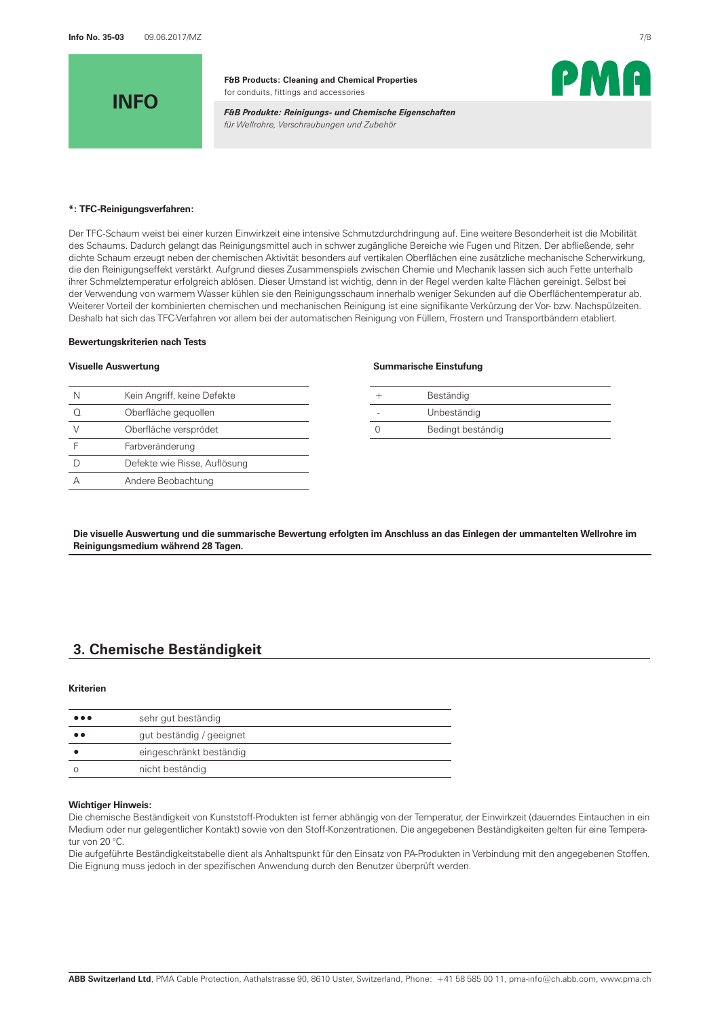

*F&B Produkte: Reinigungs- und Chemische Eigenschaften für Wellrohre, Verschraubungen und Zubehör*



#### **\*: TFC-Reinigungsverfahren:**

Der TFC-Schaum weist bei einer kurzen Einwirkzeit eine intensive Schmutzdurchdringung auf. Eine weitere Besonderheit ist die Mobilität des Schaums. Dadurch gelangt das Reinigungsmittel auch in schwer zugängliche Bereiche wie Fugen und Ritzen. Der abfließende, sehr dichte Schaum erzeugt neben der chemischen Aktivität besonders auf vertikalen Oberflächen eine zusätzliche mechanische Scherwirkung, die den Reinigungseffekt verstärkt. Aufgrund dieses Zusammenspiels zwischen Chemie und Mechanik lassen sich auch Fette unterhalb ihrer Schmelztemperatur erfolgreich ablösen. Dieser Umstand ist wichtig, denn in der Regel werden kalte Flächen gereinigt. Selbst bei der Verwendung von warmem Wasser kühlen sie den Reinigungsschaum innerhalb weniger Sekunden auf die Oberflächentemperatur ab. Weiterer Vorteil der kombinierten chemischen und mechanischen Reinigung ist eine signifikante Verkürzung der Vor- bzw. Nachspülzeiten. Deshalb hat sich das TFC-Verfahren vor allem bei der automatischen Reinigung von Füllern, Frostern und Transportbändern etabliert.

#### **Bewertungskriterien nach Tests**

| N | Kein Angriff, keine Defekte  |  | Beständig         |
|---|------------------------------|--|-------------------|
|   | Oberfläche gequollen         |  | Unbeständig       |
|   | Oberfläche versprödet        |  | Bedingt beständig |
|   | Farbveränderung              |  |                   |
|   | Defekte wie Risse, Auflösung |  |                   |
|   | Andere Beobachtung           |  |                   |
|   |                              |  |                   |

### **Visuelle Auswertung Summarische Einstufung**

| Beständig         |
|-------------------|
| Unbeständig       |
| Bedingt beständig |

**Die visuelle Auswertung und die summarische Bewertung erfolgten im Anschluss an das Einlegen der ummantelten Wellrohre im Reinigungsmedium während 28 Tagen.**

## **3. Chemische Beständigkeit**

#### **Kriterien**

| $\bullet\bullet\bullet$ | sehr gut beständig       |
|-------------------------|--------------------------|
| $\bullet$ $\bullet$     | gut beständig / geeignet |
|                         | eingeschränkt beständig  |
|                         | nicht beständig          |
|                         |                          |

#### **Wichtiger Hinweis:**

Die chemische Beständigkeit von Kunststoff-Produkten ist ferner abhängig von der Temperatur, der Einwirkzeit (dauerndes Eintauchen in ein Medium oder nur gelegentlicher Kontakt) sowie von den Stoff-Konzentrationen. Die angegebenen Beständigkeiten gelten für eine Temperatur von 20 °C.

Die aufgeführte Beständigkeitstabelle dient als Anhaltspunkt für den Einsatz von PA-Produkten in Verbindung mit den angegebenen Stoffen. Die Eignung muss jedoch in der spezifischen Anwendung durch den Benutzer überprüft werden.